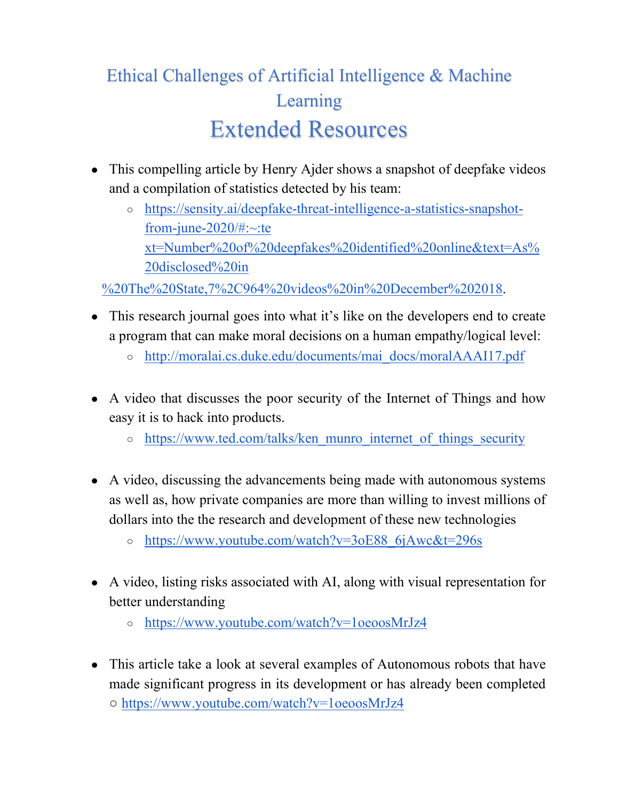## Ethical Challenges of Artificial Intelligence & Machine Learning Extended Resources

- This compelling article by Henry Ajder shows a snapshot of deepfake videos and a compilation of statistics detected by his team:
	- [https://sensity.ai/deepfake-threat-intelligence-a-statistics-snapshot](https://sensity.ai/deepfake-threat-intelligence-a-statistics-snapshot-from-june-2020/#:%7E:text=Number%20of%20deepfakes%20identified%20online&text=As%20disclosed%20in%20The%20State,7%2C964%20videos%20in%20December%202018)[from-june-2020/#:~:te](https://sensity.ai/deepfake-threat-intelligence-a-statistics-snapshot-from-june-2020/#:%7E:text=Number%20of%20deepfakes%20identified%20online&text=As%20disclosed%20in%20The%20State,7%2C964%20videos%20in%20December%202018)  [xt=Number%20of%20deepfakes%20identified%20online&text=As%](https://sensity.ai/deepfake-threat-intelligence-a-statistics-snapshot-from-june-2020/#:%7E:text=Number%20of%20deepfakes%20identified%20online&text=As%20disclosed%20in%20The%20State,7%2C964%20videos%20in%20December%202018) [20disclosed%20in](https://sensity.ai/deepfake-threat-intelligence-a-statistics-snapshot-from-june-2020/#:%7E:text=Number%20of%20deepfakes%20identified%20online&text=As%20disclosed%20in%20The%20State,7%2C964%20videos%20in%20December%202018)

[%20The%20State,7%2C964%20videos%20in%20December%202018.](https://sensity.ai/deepfake-threat-intelligence-a-statistics-snapshot-from-june-2020/#:%7E:text=Number%20of%20deepfakes%20identified%20online&text=As%20disclosed%20in%20The%20State,7%2C964%20videos%20in%20December%202018)

- This research journal goes into what it's like on the developers end to create a program that can make moral decisions on a human empathy/logical level:
	- o [http://moralai.cs.duke.edu/documents/mai\\_docs/moralAAAI17.pdf](http://moralai.cs.duke.edu/documents/mai_docs/moralAAAI17.pdf)
- A video that discusses the poor security of the Internet of Things and how easy it is to hack into products.
	- [https://www.ted.com/talks/ken\\_munro\\_internet\\_of\\_things\\_security](https://www.ted.com/talks/ken_munro_internet_of_things_security)
- A video, discussing the advancements being made with autonomous systems as well as, how private companies are more than willing to invest millions of dollars into the the research and development of these new technologies
	- o [https://www.youtube.com/watch?v=3oE88\\_6jAwc&t=296s](https://www.youtube.com/watch?v=3oE88_6jAwc&t=296s)
- A video, listing risks associated with AI, along with visual representation for better understanding
	- <https://www.youtube.com/watch?v=1oeoosMrJz4>
- This article take a look at several examples of Autonomous robots that have made significant progress in its development or has already been completed ○ <https://www.youtube.com/watch?v=1oeoosMrJz4>